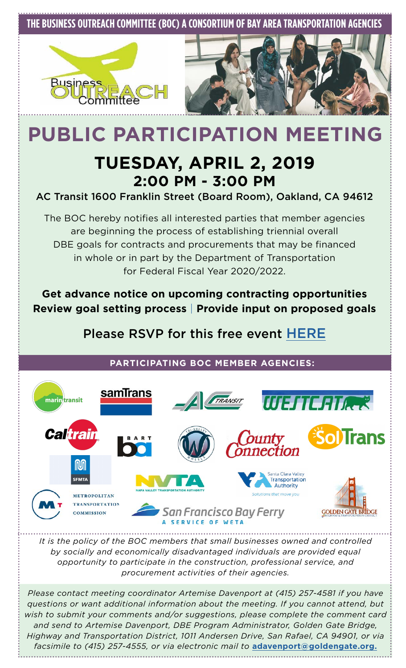## **THE BUSINESS OUTREACH COMMITTEE (BOC) A CONSORTIUM OF BAY AREA TRANSPORTATION AGENCIES**





# **PUBLIC PARTICIPATION MEETING**

## **TUESDAY, APRIL 2, 2019 2:00 PM - 3:00 PM**

#### AC Transit 1600 Franklin Street (Board Room), Oakland, CA 94612

The BOC hereby notifies all interested parties that member agencies are beginning the process of establishing triennial overall DBE goals for contracts and procurements that may be financed in whole or in part by the Department of Transportation for Federal Fiscal Year 2020/2022.

**Get advance notice on upcoming contracting opportunities Review goal setting process** | **Provide input on proposed goals**

## Please RSVP for this free event [HERE](https://www.eventbrite.com/e/business-outreach-committee-boc-public-participation-meeting-tickets-36965387469)

#### **PARTICIPATING BOC MEMBER AGENCIES:**



*It is the policy of the BOC members that small businesses owned and controlled by socially and economically disadvantaged individuals are provided equal opportunity to participate in the construction, professional service, and procurement activities of their agencies.*

*Please contact meeting coordinator Artemise Davenport at (415) 257-4581 if you have questions or want additional information about the meeting. If you cannot attend, but wish to submit your comments and/or suggestions, please complete the comment card and send to Artemise Davenport, DBE Program Administrator, Golden Gate Bridge, Highway and Transportation District, 1011 Andersen Drive, San Rafael, CA 94901, or via facsimile to (415) 257-4555, or via electronic mail to* **[adavenport@goldengate.org.](mailto:adavenport%40goldengate.org.?subject=)**